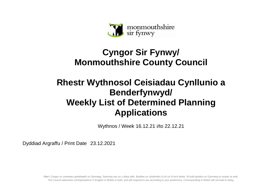

## **Cyngor Sir Fynwy/ Monmouthshire County Council**

## **Rhestr Wythnosol Ceisiadau Cynllunio a Benderfynwyd/ Weekly List of Determined Planning Applications**

Wythnos / Week 16.12.21 i/to 22.12.21

Dyddiad Argraffu / Print Date 23.12.2021

Mae'r Cyngor yn croesawu gohebiaeth yn Gymraeg, Saesneg neu yn y ddwy iaith. Byddwn yn cyfathrebu â chi yn ôl eich dewis. Ni fydd gohebu yn Gymraeg yn arwain at oedi. The Council welcomes correspondence in English or Welsh or both, and will respond to you according to your preference. Corresponding in Welsh will not lead to delay.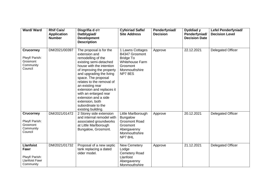| Ward/Ward                                                                        | <b>Rhif Cais/</b><br><b>Application</b><br><b>Number</b> | Disgrifia d o'r<br>Datblygiad/<br><b>Development</b><br><b>Description</b>                                                                                                                                                                                                                                                                                                                         | <b>Cyfeiriad Safle/</b><br><b>Site Address</b>                                                                          | Penderfyniad/<br><b>Decision</b> | Dyddiad y<br>Penderfyniad/<br><b>Decision Date</b> | <b>Lefel Penderfyniad/</b><br><b>Decision Level</b> |
|----------------------------------------------------------------------------------|----------------------------------------------------------|----------------------------------------------------------------------------------------------------------------------------------------------------------------------------------------------------------------------------------------------------------------------------------------------------------------------------------------------------------------------------------------------------|-------------------------------------------------------------------------------------------------------------------------|----------------------------------|----------------------------------------------------|-----------------------------------------------------|
| <b>Crucorney</b><br>Plwyf/ Parish:<br>Grosmont<br>Community<br>Council           | DM/2021/00397                                            | The proposal is for the<br>extension and<br>remodelling of the<br>existing semi-detached<br>house with the intention<br>of improving the property<br>and upgrading the living<br>space. The proposal<br>relates to the removal of<br>an existing rear<br>extension and replaces it<br>with an enlarged rear<br>extension and a side<br>extension, both<br>subordinate to the<br>existing building. | 1 Lawns Cottages<br>B4347 Grosmont<br><b>Bridge To</b><br><b>Whitehouse Farm</b><br>Grosmont<br>Monmouthshire<br>NP78ES | Approve                          | 22.12.2021                                         | <b>Delegated Officer</b>                            |
| <b>Crucorney</b><br>Plwyf/ Parish:<br>Grosmont<br>Community<br>Council           | DM/2021/01472                                            | 2 Storey side extension<br>and internal remodel with<br>associated groundworks<br>at Little Marlborough<br>Bungalow, Grosmont.                                                                                                                                                                                                                                                                     | Little Marlborough<br><b>Bungalow</b><br><b>Grosmont Road</b><br>Grosmont<br>Abergavenny<br>Monmouthshire<br>NP78HL     | Approve                          | 20.12.2021                                         | <b>Delegated Officer</b>                            |
| <b>Llanfoist</b><br>Fawr<br>Plwyf/ Parish:<br><b>Llanfoist Fawr</b><br>Community | DM/2021/01732                                            | Proposal of a new septic<br>tank replacing a dated<br>older model.                                                                                                                                                                                                                                                                                                                                 | <b>New Cemetery</b><br>Lodge<br><b>Cemetery Road</b><br>Llanfoist<br>Abergavenny<br>Monmouthshire                       | Approve                          | 21.12.2021                                         | <b>Delegated Officer</b>                            |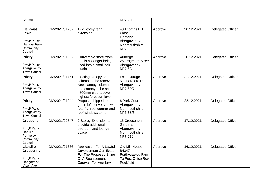| Council                                                                                     |               |                                                                                                                                                  | NP7 9LF                                                                                |         |            |                          |
|---------------------------------------------------------------------------------------------|---------------|--------------------------------------------------------------------------------------------------------------------------------------------------|----------------------------------------------------------------------------------------|---------|------------|--------------------------|
| <b>Llanfoist</b><br>Fawr<br>Plwyf/ Parish:<br><b>Llanfoist Fawr</b><br>Community<br>Council | DM/2021/01767 | Two storey rear<br>extension.                                                                                                                    | 48 Thomas Hill<br>Close<br>Llanfoist<br>Abergavenny<br>Monmouthshire<br>NP7 9FJ        | Approve | 20.12.2021 | <b>Delegated Officer</b> |
| <b>Priory</b><br>Plwyf/ Parish:<br>Abergavenny<br><b>Town Council</b>                       | DM/2021/01532 | Convert old store room<br>that is no longer being<br>used into a small hair<br>studio.                                                           | Auberge<br>25 Frogmore Street<br>Abergavenny<br>NP7 5AH                                | Approve | 20.12.2021 | <b>Delegated Officer</b> |
| <b>Priory</b><br>Plwyf/ Parish:<br>Abergavenny<br><b>Town Council</b>                       | DM/2021/01751 | Existing canopy and<br>columns to be removed.<br>New canopy columns<br>and canopy to be set at<br>4500mm clear above<br>highest forecourt level. | <b>Esso Garage</b><br>5-7 Hereford Road<br>Abergavenny<br>NP7 5PR                      | Approve | 21.12.2021 | <b>Delegated Officer</b> |
| <b>Priory</b><br>Plwyf/ Parish:<br>Abergavenny<br><b>Town Council</b>                       | DM/2021/01944 | Proposed hipped to<br>gable loft conversion with<br>rear flat roof dormer and<br>roof windows to front.                                          | <b>6 Park Court</b><br>Abergavenny<br>Monmouthshire<br>NP75SR                          | Approve | 22.12.2021 | <b>Delegated Officer</b> |
| <b>Croesonen</b><br>Plwyf/ Parish:<br>Llantilio<br>Pertholey<br>Community<br>Council        | DM/2021/00847 | 2 Storey Extension to<br>provide additional<br>bedroom and lounge<br>space                                                                       | 16 Croesonen<br>Gardens<br>Abergavenny<br>Monmouthshire<br>NP76BJ                      | Approve | 17.12.2021 | <b>Delegated Officer</b> |
| <b>Llantilio</b><br><b>Crossenny</b><br>Plwyf/ Parish:<br>Llangattock<br>Vibon Avel         | DM/2021/01366 | <b>Application For A Lawful</b><br><b>Development Certificate</b><br>For The Proposed Siting<br>Of A Replacement<br><b>Caravan For Ancillary</b> | <b>Old Mill House</b><br>B4347<br>Porthygaelod Farm<br>To Post Office Row<br>Rockfield | Approve | 16.12.2021 | <b>Delegated Officer</b> |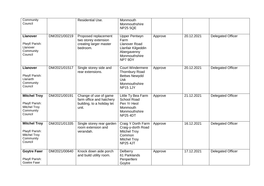| Community<br>Council                                                                 |               | <b>Residential Use.</b>                                                                  | Monmouth<br>Monmouthshire<br><b>NP25 5QE</b>                                                                               |         |            |                          |
|--------------------------------------------------------------------------------------|---------------|------------------------------------------------------------------------------------------|----------------------------------------------------------------------------------------------------------------------------|---------|------------|--------------------------|
| <b>Llanover</b><br>Plwyf/ Parish:<br>Llanover<br>Community<br>Council                | DM/2021/00219 | Proposed replacement<br>two storey extension<br>creating larger master<br>bedroom.       | <b>Upper Pentwyn</b><br>Farm<br><b>Llanover Road</b><br>Llanfair Kilgeddin<br>Abergavenny<br>Monmouthshire<br>NP7 9DY      | Approve | 20.12.2021 | <b>Delegated Officer</b> |
| <b>Llanover</b><br>Plwyf/ Parish:<br>Llanarth<br>Community<br>Council                | DM/2021/01517 | Single storey side and<br>rear extensions.                                               | <b>Court Windermere</b><br><b>Thornbury Road</b><br><b>Bettws Newydd</b><br><b>Usk</b><br>Monmouthshire<br><b>NP15 1JY</b> | Approve | 20.12.2021 | <b>Delegated Officer</b> |
| <b>Mitchel Troy</b><br>Plwyf/ Parish:<br><b>Mitchel Troy</b><br>Community<br>Council | DM/2021/00191 | Change of use of game<br>farm office and hatchery<br>building, to a holiday let<br>unit. | Little Ty Bea Farm<br><b>School Road</b><br>Pen Yr Heol<br>Monmouth<br>Monmouthshire<br><b>NP25 4DT</b>                    | Approve | 21.12.2021 | <b>Delegated Officer</b> |
| <b>Mitchel Troy</b><br>Plwyf/ Parish:<br><b>Mitchel Troy</b><br>Community<br>Council | DM/2021/01335 | Single storey rear garden<br>room extension and<br>verandah.                             | Craig Y Dorth Farm<br>Craig-y-dorth Road<br><b>Mitchel Troy</b><br>Common<br><b>Mitchel Troy</b><br><b>NP25 4JT</b>        | Approve | 16.12.2021 | <b>Delegated Officer</b> |
| <b>Goytre Fawr</b><br>Plwyf/ Parish:<br>Goetre Fawr                                  | DM/2021/00640 | Knock down aide porch<br>and build utility room.                                         | Delberry<br>61 Parklands<br>Penperlleni<br>Goytre                                                                          | Approve | 17.12.2021 | <b>Delegated Officer</b> |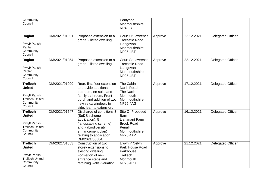| Community<br>Council                                                                                 |               |                                                                                                                                                                                          | Pontypool<br>Monmouthshire<br>NP4 0BE                                                                                        |         |            |                          |
|------------------------------------------------------------------------------------------------------|---------------|------------------------------------------------------------------------------------------------------------------------------------------------------------------------------------------|------------------------------------------------------------------------------------------------------------------------------|---------|------------|--------------------------|
| Raglan<br>Plwyf/ Parish:<br>Raglan<br>Community<br>Council                                           | DM/2021/01351 | Proposed extension to a<br>grade 2 listed dwelling.                                                                                                                                      | <b>Court St Lawrence</b><br><b>Trecastle Road</b><br>Llangovan<br>Monmouthshire<br><b>NP25 4BT</b>                           | Approve | 22.12.2021 | <b>Delegated Officer</b> |
| Raglan<br>Plwyf/ Parish:<br>Raglan<br>Community<br>Council                                           | DM/2021/01354 | Proposed extension to a<br>grade 2 listed dwelling.                                                                                                                                      | <b>Court St Lawrence</b><br><b>Trecastle Road</b><br>Llangovan<br>Monmouthshire<br><b>NP25 4BT</b>                           | Approve | 22.12.2021 | <b>Delegated Officer</b> |
| <b>Trellech</b><br><b>United</b><br>Plwyf/ Parish:<br><b>Trellech United</b><br>Community<br>Council | DM/2021/01099 | Rear, first floor extension<br>to provide additional<br>bedroom, en-suite and<br>family bathroom. Front<br>porch and addition of two<br>new velux windows to<br>side, lean-to extension. | The Cabin<br><b>Narth Road</b><br>The Narth<br>Monmouth<br>Monmouthshire<br><b>NP25 4AG</b>                                  | Approve | 17.12.2021 | <b>Delegated Officer</b> |
| <b>Trellech</b><br><b>United</b><br>Plwyf/ Parish:<br><b>Trellech United</b><br>Community<br>Council | DM/2021/01547 | Discharge of conditions 3<br>(SuDS scheme<br>application), 5<br>(landscaping scheme)<br>and 7 (biodiversity<br>enhancement plan)<br>relating to application<br>DM/2021/00584.            | Site Of Proposed<br><b>Barn</b><br><b>Llananant Farm</b><br><b>Brook Road</b><br>Penallt<br>Monmouthshire<br><b>NP25 4AP</b> | Approve | 16.12.2021 | <b>Delegated Officer</b> |
| <b>Trellech</b><br><b>United</b><br>Plwyf/ Parish:<br><b>Trellech United</b><br>Community<br>Council | DM/2021/01653 | Construction of two<br>storey extensions to<br>existing dwelling.<br>Formation of new<br>entrance steps and<br>retaining walls (variation                                                | Llwyn Y Celyn<br>Park House Road<br>Parkhouse<br>Trellech<br>Monmouth<br><b>NP25 4PU</b>                                     | Approve | 21.12.2021 | <b>Delegated Officer</b> |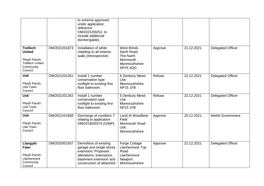|                                                                                                      |               | to scheme approved<br>under application<br>reference<br>DM/2021/00252, to<br>include additional<br>dormer/gable).                                           |                                                                                              |         |            |                          |
|------------------------------------------------------------------------------------------------------|---------------|-------------------------------------------------------------------------------------------------------------------------------------------------------------|----------------------------------------------------------------------------------------------|---------|------------|--------------------------|
| <b>Trellech</b><br><b>United</b><br>Plwyf/ Parish:<br><b>Trellech United</b><br>Community<br>Council | DM/2021/01873 | Installation of white<br>cladding to all exterior<br>walls (retrospective)                                                                                  | <b>West Winds</b><br>Narth Road<br>The Narth<br>Monmouth<br>Monmouthshire<br><b>NP25 4QG</b> | Approve | 21.12.2021 | <b>Delegated Officer</b> |
| <b>Usk</b><br>Plwyf/ Parish:<br>Usk Town<br>Council                                                  | DM/2021/01261 | Install 1 number<br>conservation type<br>rooflight to existing first<br>floor bathroom.                                                                     | 5 Denbury Mews<br><b>Usk</b><br>Monmouthshire<br><b>NP15 1FB</b>                             | Refuse  | 22.12.2021 | <b>Delegated Officer</b> |
| <b>Usk</b><br>Plwyf/ Parish:<br>Usk Town<br>Council                                                  | DM/2021/01262 | Install 1 number<br>conservation type<br>rooflight to existing first<br>floor bathroom.                                                                     | 5 Denbury Mews<br><b>Usk</b><br>Monmouthshire<br><b>NP15 1FB</b>                             | Refuse  | 22.12.2021 | <b>Delegated Officer</b> |
| <b>Usk</b><br>Plwyf/ Parish:<br>Usk Town<br>Council                                                  | DM/2021/01808 | Discharge of condition 7<br>relating to application<br>DM/2018/00374 (GIMP).                                                                                | Land At Woodbine<br>Field<br>Monmouth Road<br><b>Usk</b><br>Monmouthshire                    | Approve | 20.12.2021 | <b>Welsh Government</b>  |
| Llangybi<br>Fawr<br>Plwyf/ Parish:<br>Llanhennock<br>Community<br>Council                            | DM/2020/01507 | Demolition of existing<br>garage and single storey<br>extension. Proposed<br>alterations, extensions,<br>basement extension and<br>construction of detached | <b>Forge Cottage</b><br>Llanhennock Top<br>Road<br>Llanhennock<br>Newport<br>Monmouthshire   | Approve | 21.12.2021 | <b>Delegated Officer</b> |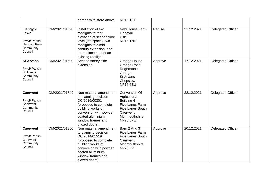|                                                                             |               | garage with store above.                                                                                                                                                                            | <b>NP18 1LT</b>                                                                                                                           |         |            |                          |
|-----------------------------------------------------------------------------|---------------|-----------------------------------------------------------------------------------------------------------------------------------------------------------------------------------------------------|-------------------------------------------------------------------------------------------------------------------------------------------|---------|------------|--------------------------|
| Llangybi<br>Fawr<br>Plwyf/ Parish:<br>Llangybi Fawr<br>Community<br>Council | DM/2021/01628 | Installation of two<br>rooflights to rear<br>elevation at second floor<br>level (loft space), two<br>rooflights to a mid-<br>century extension, and<br>the replacement of an<br>existing rooflight. | New House Farm<br>Llangybi<br><b>Usk</b><br><b>NP15 1NP</b>                                                                               | Refuse  | 21.12.2021 | <b>Delegated Officer</b> |
| <b>St Arvans</b><br>Plwyf/ Parish:<br>St Arvans<br>Community<br>Council     | DM/2021/01600 | Second storey side<br>extension                                                                                                                                                                     | <b>Grange House</b><br><b>Grange Road</b><br>Rogerstone<br>Grange<br>St Arvans<br>Chepstow<br><b>NP16 6EU</b>                             | Approve | 17.12.2021 | <b>Delegated Officer</b> |
| <b>Caerwent</b><br>Plwyf/ Parish:<br>Caerwent<br>Community<br>Council       | DM/2021/01849 | Non material amendment<br>to planning decision<br>DC/2016/00301<br>(proposed to complete<br>building works of<br>conversion with powder<br>coated aluminium<br>window frames and<br>glazed doors).  | Conversion Of<br>Agricultural<br>Building 4<br>Five Lanes Farm<br><b>Five Lanes South</b><br>Caerwent<br>Monmouthshire<br><b>NP26 5PE</b> | Approve | 22.12.2021 | <b>Delegated Officer</b> |
| <b>Caerwent</b><br>Plwyf/ Parish:<br>Caerwent<br>Community<br>Council       | DM/2021/01850 | Non material amendment<br>to planning decision<br>DC/2014/01519<br>(proposed to complete<br>building works of<br>conversion with powder<br>coated aluminium<br>window frames and<br>glazed doors).  | Barn 2 And 3<br>Five Lanes Farm<br><b>Five Lanes South</b><br>Caerwent<br>Monmouthshire<br><b>NP26 5PE</b>                                | Approve | 20.12.2021 | <b>Delegated Officer</b> |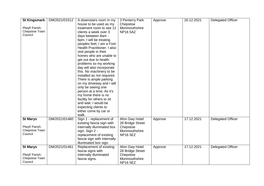| <b>St Kingsmark</b> | DM/2021/01512 | A downstairs room in my                             | 3 Penterry Park  | Approve | 20.12.2021 | <b>Delegated Officer</b> |
|---------------------|---------------|-----------------------------------------------------|------------------|---------|------------|--------------------------|
|                     |               | house to be used as my                              | Chepstow         |         |            |                          |
| Plwyf/ Parish:      |               | treatment room to see 12                            | Monmouthshire    |         |            |                          |
| Chepstow Town       |               | clients a week over 3                               | <b>NP16 5AZ</b>  |         |            |                          |
| Council             |               | days between 8am -                                  |                  |         |            |                          |
|                     |               | 6pm. I will be treating                             |                  |         |            |                          |
|                     |               | peoples feet, I am a Foot                           |                  |         |            |                          |
|                     |               | Health Practitioner. I also                         |                  |         |            |                          |
|                     |               | visit people in their                               |                  |         |            |                          |
|                     |               | homes who are unable to                             |                  |         |            |                          |
|                     |               | get out due to health                               |                  |         |            |                          |
|                     |               |                                                     |                  |         |            |                          |
|                     |               | problems so my working<br>day will also incorporate |                  |         |            |                          |
|                     |               |                                                     |                  |         |            |                          |
|                     |               | this. No machinery to be                            |                  |         |            |                          |
|                     |               | installed as not required.                          |                  |         |            |                          |
|                     |               | There is ample parking                              |                  |         |            |                          |
|                     |               | on my driveway and I will                           |                  |         |            |                          |
|                     |               | only be seeing one                                  |                  |         |            |                          |
|                     |               | person at a time. As it's                           |                  |         |            |                          |
|                     |               | my home there is no                                 |                  |         |            |                          |
|                     |               | facility for others to sit                          |                  |         |            |                          |
|                     |               | and wait. I would be                                |                  |         |            |                          |
|                     |               | expecting clients to                                |                  |         |            |                          |
|                     |               | either come by car or                               |                  |         |            |                          |
|                     |               | walk.                                               |                  |         |            |                          |
| <b>St Marys</b>     | DM/2021/01460 | Sign 1 - replacement of                             | Afon Gwy Hotel   | Approve | 17.12.2021 | <b>Delegated Officer</b> |
|                     |               | existing fascia sign with                           | 28 Bridge Street |         |            |                          |
| Plwyf/ Parish:      |               | internally illuminated box                          | Chepstow         |         |            |                          |
| Chepstow Town       |               | sign. Sign 2 -                                      | Monmouthshire    |         |            |                          |
| Council             |               | replacement of existing                             | <b>NP16 5EZ</b>  |         |            |                          |
|                     |               | fascia sign with internally                         |                  |         |            |                          |
|                     |               | illuminated box sign.                               |                  |         |            |                          |
| <b>St Marys</b>     | DM/2021/01461 | Replacement of existing                             | Afon Gwy Hotel   | Approve | 17.12.2021 | <b>Delegated Officer</b> |
|                     |               | fascia signs with                                   | 28 Bridge Street |         |            |                          |
| Plwyf/ Parish:      |               | internally illuminated                              | Chepstow         |         |            |                          |
| Chepstow Town       |               | fascia signs.                                       | Monmouthshire    |         |            |                          |
| Council             |               |                                                     | <b>NP16 5EZ</b>  |         |            |                          |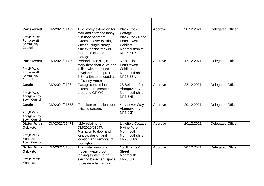| <b>Portskewett</b><br>Plwyf/ Parish:<br>Portskewett<br>Community<br>Council                | DM/2021/01482 | Two storey extension for<br>stair and entrance lobby,<br>first floor bedroom<br>extension over existing<br>kitchen, single storey<br>side extension for wet<br>room and clothes<br>storage. | <b>Black Rock</b><br>Cottage<br><b>Black Rock Road</b><br>Portskewett<br>Caldicot<br>Monmouthshire<br><b>NP26 5TP</b> | Approve | 20.12.2021 | <b>Delegated Officer</b> |
|--------------------------------------------------------------------------------------------|---------------|---------------------------------------------------------------------------------------------------------------------------------------------------------------------------------------------|-----------------------------------------------------------------------------------------------------------------------|---------|------------|--------------------------|
| <b>Portskewett</b><br>Plwyf/ Parish:<br>Portskewett<br>Community<br>Council                | DM/2021/01729 | Prefabricated single<br>story (less than 2.5m and<br>in line with permitted<br>development) approx<br>7.5m x 5m to be used as<br>a Granny Annexe.                                           | 6 The Close<br>Portskewett<br>Caldicot<br>Monmouthshire<br><b>NP26 5SN</b>                                            | Approve | 17.12.2021 | <b>Delegated Officer</b> |
| <b>Castle</b><br>Plwyf/ Parish:<br>Abergavenny<br><b>Town Council</b>                      | DM/2021/01234 | Garage conversion and<br>extension to create porch<br>area and GF WC.                                                                                                                       | 23 Belmont Road<br>Abergavenny<br>Monmouthshire<br>NP7 5HN                                                            | Approve | 22.12.2021 | <b>Delegated Officer</b> |
| <b>Castle</b><br>Plwyf/ Parish:<br>Abergavenny<br><b>Town Council</b>                      | DM/2021/01578 | First floor extension over<br>existing garage.                                                                                                                                              | 4 Llanover Way<br>Abergavenny<br>NP7 9JF                                                                              | Approve | 20.12.2021 | <b>Delegated Officer</b> |
| <b>Dixton With</b><br><b>Osbaston</b><br>Plwyf/ Parish:<br>Monmouth<br><b>Town Council</b> | DM/2021/01471 | NMA relating to<br>DM/2019/01947:<br>Alteration to door and<br>window design and<br>location and removal of<br>roof lights.                                                                 | Littlefield Cottage<br>9 Vine Acre<br>Monmouth<br>Monmouthshire<br><b>NP25 3HW</b>                                    | Approve | 20.12.2021 | <b>Delegated Officer</b> |
| <b>Dixton With</b><br><b>Osbaston</b><br>Plwyf/ Parish:<br>Monmouth                        | DM/2021/01565 | The installation of a<br>modern waterproof<br>tanking system to an<br>existing basement space<br>to create a family room                                                                    | 15 St James'<br><b>Street</b><br>Monmouth<br><b>NP25 3DL</b>                                                          | Approve | 20.12.2021 | <b>Delegated Officer</b> |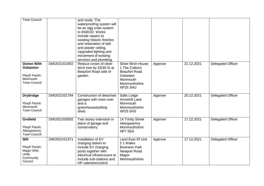| <b>Town Council</b>                                                                        |               | and study. The<br>waterproofing system will<br>be an egg crate system<br>to BS8102. Works<br>include repairs to<br>existing historic finishes<br>and restoration of lath<br>and plaster ceiling.<br>Upgraded lighting and<br>movement of existing<br>services and plumbing. |                                                                                                                         |         |            |                          |
|--------------------------------------------------------------------------------------------|---------------|-----------------------------------------------------------------------------------------------------------------------------------------------------------------------------------------------------------------------------------------------------------------------------|-------------------------------------------------------------------------------------------------------------------------|---------|------------|--------------------------|
| <b>Dixton With</b><br><b>Osbaston</b><br>Plwyf/ Parish:<br>Monmouth<br><b>Town Council</b> | DM/2021/01902 | Reduce crown of silver<br>birch tree by 25/30 % at<br>Beaufort Road side of<br>garden                                                                                                                                                                                       | <b>Silver Birch House</b><br>1 The Cottons<br><b>Beaufort Road</b><br>Osbaston<br>Monmouth<br>Monmouthshire<br>NP25 3HU | Approve | 21.12.2021 | <b>Delegated Officer</b> |
| <b>Drybridge</b><br>Plwyf/ Parish:<br>Monmouth<br><b>Town Council</b>                      | DM/2021/01794 | Construction of detached<br>garages with room over<br>and a<br>greenhouse/potting<br>shed.                                                                                                                                                                                  | Salts Lodge<br><b>Ancrehill Lane</b><br>Monmouth<br>Monmouthshire<br><b>NP25 5HS</b>                                    | Approve | 20.12.2021 | <b>Delegated Officer</b> |
| <b>Grofield</b><br>Plwyf/ Parish:<br>Abergavenny<br><b>Town Council</b>                    | DM/2021/00592 | Two storey extension in<br>place of garage and<br>conservatory.                                                                                                                                                                                                             | 14 Trinity Street<br>Abergavenny<br>Monmouthshire<br>NP7 5EA                                                            | Approve | 17.12.2021 | <b>Delegated Officer</b> |
| <b>Mill</b><br>Plwyf/ Parish:<br>Magor With<br>Undy<br>Community<br>Council                | DM/2021/01371 | Installation of EV<br>charging station to<br>include EV charging<br>posts together with<br>electrical infrastructure to<br>include sub-stations and<br>HP cabinets/control                                                                                                  | Land East Of Unit<br>21 Wales<br><b>Business Park</b><br>Newport Road<br>Magor<br>Monmouthshire                         | Approve | 17.12.2021 | <b>Delegated Officer</b> |